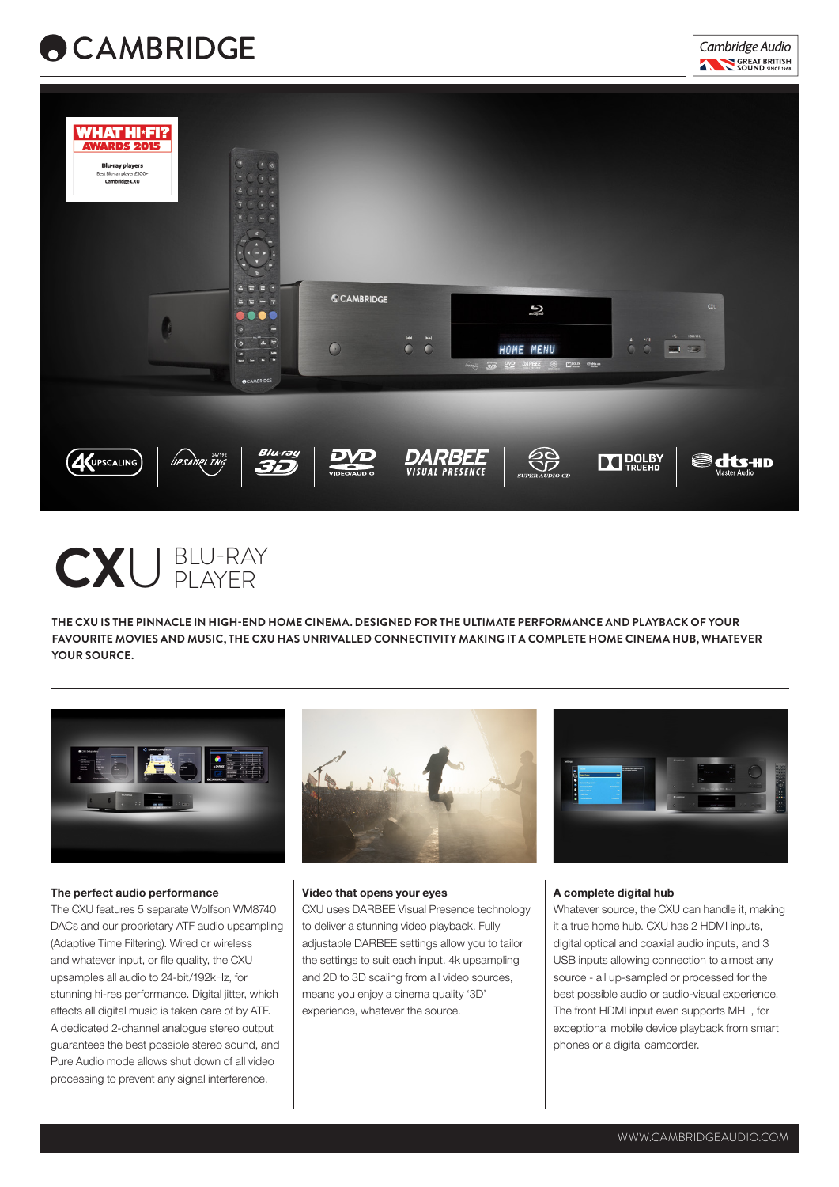





CXU BLU-RAY

**THE CXU IS THE PINNACLE IN HIGH-END HOME CINEMA. DESIGNED FOR THE ULTIMATE PERFORMANCE AND PLAYBACK OF YOUR FAVOURITE MOVIES AND MUSIC, THE CXU HAS UNRIVALLED CONNECTIVITY MAKING IT A COMPLETE HOME CINEMA HUB, WHATEVER YOUR SOURCE.**



#### **The perfect audio performance**

The CXU features 5 separate Wolfson WM8740 DACs and our proprietary ATF audio upsampling (Adaptive Time Filtering). Wired or wireless and whatever input, or file quality, the CXU upsamples all audio to 24-bit/192kHz, for stunning hi-res performance. Digital jitter, which affects all digital music is taken care of by ATF. A dedicated 2-channel analogue stereo output guarantees the best possible stereo sound, and Pure Audio mode allows shut down of all video processing to prevent any signal interference.



#### **Video that opens your eyes**

CXU uses DARBEE Visual Presence technology to deliver a stunning video playback. Fully adjustable DARBEE settings allow you to tailor the settings to suit each input. 4k upsampling and 2D to 3D scaling from all video sources, means you enjoy a cinema quality '3D' experience, whatever the source.



#### **A complete digital hub**

Whatever source, the CXU can handle it, making it a true home hub. CXU has 2 HDMI inputs, digital optical and coaxial audio inputs, and 3 USB inputs allowing connection to almost any source - all up-sampled or processed for the best possible audio or audio-visual experience. The front HDMI input even supports MHL, for exceptional mobile device playback from smart phones or a digital camcorder.